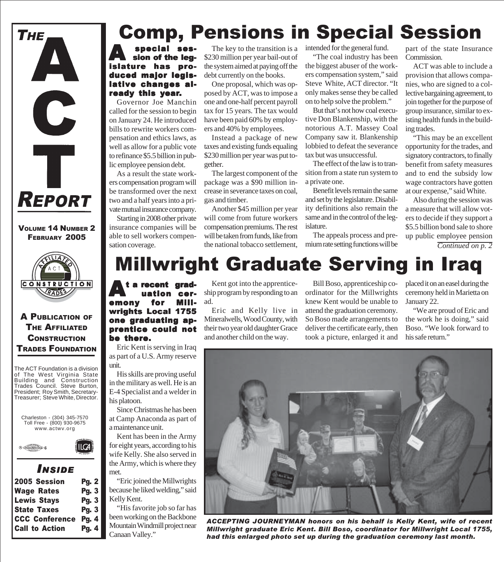

VOLUME 14 NUMBER 2 FEBRUARY 2005



A PUBLICATION OF THE AFFILIATED **CONSTRUCTION** TRADES FOUNDATION

The ACT Foundation is a division of The West Virginia State Building and Construction Trades Council. Steve Burton, President; Roy Smith, Secretary-Treasurer; Steve White, Director.



### *I NSIDE*

 $\mathsf{I} \mathsf{C}$ A

| <b>2005 Session</b>   | <b>Pg. 2</b> |
|-----------------------|--------------|
| <b>Wage Rates</b>     | Pg.3         |
| <b>Lewis Stays</b>    | Pg. $3$      |
| <b>State Taxes</b>    | Pg. $3 \mid$ |
| <b>CCC Conference</b> | <b>Pg. 4</b> |
| <b>Call to Action</b> | <b>Pg. 4</b> |
|                       |              |

# Comp, Pensions in Special Session

**A** special ses-<br>
sion of the legislature has produced major legislative changes already this year.

Governor Joe Manchin called for the session to begin on January 24. He introduced bills to rewrite workers compensation and ethics laws, as well as allow for a public vote to refinance \$5.5 billion in public employee pension debt.

As a result the state workers compensation program will be transformed over the next two and a half years into a private mutual insurance company.

Starting in 2008 other private insurance companies will be able to sell workers compensation coverage.

The key to the transition is a \$230 million per year bail-out of the system aimed at paying off the debt currently on the books.

One proposal, which was opposed by ACT, was to impose a one and one-half percent payroll tax for 15 years. The tax would have been paid 60% by employers and 40% by employees.

Instead a package of new taxes and existing funds equaling \$230 million per year was put together.

The largest component of the package was a \$90 million increase in severance taxes on coal, gas and timber.

Another \$45 million per year will come from future workers compensation premiums. The rest will be taken from funds, like from the national tobacco settlement, intended for the general fund.

"The coal industry has been the biggest abuser of the workers compensation system," said Steve White, ACT director. "It only makes sense they be called on to help solve the problem."

But that's not how coal executive Don Blankenship, with the notorious A.T. Massey Coal Company saw it. Blankenship lobbied to defeat the severance tax but was unsuccessful.

The effect of the law is to transition from a state run system to a private one.

Benefit levels remain the same and set by the legislature. Disability definitions also remain the same and in the control of the legislature.

The appeals process and premium rate setting functions will be

part of the state Insurance Commission.

ACT was able to include a provision that allows companies, who are signed to a collective bargaining agreement, to join together for the purpose of group insurance, similar to existing health funds in the building trades.

"This may be an excellent opportunity for the trades, and signatory contractors, to finally benefit from safety measures and to end the subsidy low wage contractors have gotten at our expense," said White.

Also during the session was a measure that will allow voters to decide if they support a \$5.5 billion bond sale to shore up public employee pension

*Continued on p. 2*

# Millwright Graduate Serving in Iraq

 $\mathbf{A}$ <sup>t</sup> a recent grad-<br>  $\mathbf{u}$  ation ceruation ceremony for Millwrights Local 1755 one graduating apprentice could not be there. ad.

Eric Kent is serving in Iraq as part of a U.S. Army reserve unit.

His skills are proving useful in the military as well. He is an E-4 Specialist and a welder in his platoon.

Since Christmas he has been at Camp Anaconda as part of a maintenance unit.

Kent has been in the Army for eight years, according to his wife Kelly. She also served in the Army, which is where they met.

"Eric joined the Millwrights because he liked welding," said Kelly Kent.

"His favorite job so far has been working on the Backbone Mountain Windmill project near Canaan Valley."

Kent got into the apprenticeship program by responding to an

Eric and Kelly live in Mineralwells, Wood County, with their two year old daughter Grace and another child on the way.

Bill Boso, apprenticeship coordinator for the Millwrights knew Kent would be unable to attend the graduation ceremony. So Boso made arrangements to deliver the certificate early, then took a picture, enlarged it and placed it on an easel during the ceremony held in Marietta on January 22.

"We are proud of Eric and the work he is doing," said Boso. "We look forward to his safe return."



*ACCEPTING JOURNEYMAN honors on his behalf is Kelly Kent, wife of recent Millwright graduate Eric Kent. Bill Boso, coordinator for Millwright Local 1755, had this enlarged photo set up during the graduation ceremony last month.*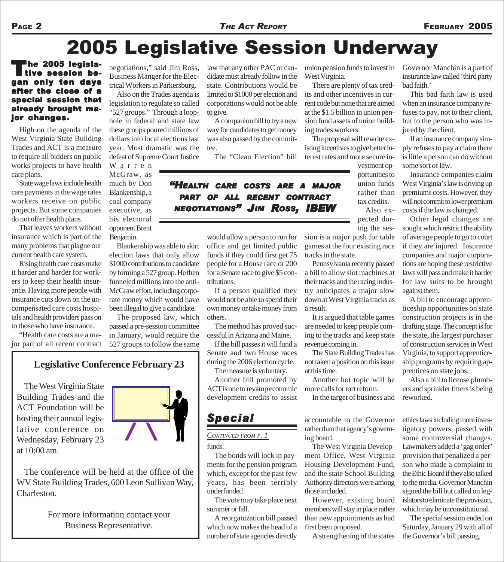# 2005 Legislative Session Underway

<sup>I</sup>he 2005 legislative session began only ten days after the close of a special session that already brought major changes.

High on the agenda of the West Virginia State Building Trades and ACT is a measure to require all bidders on public works projects to have health care plans.

State wage laws include health care payments in the wage rates workers receive on public projects. But some companies do not offer health plans.

That leaves workers without insurance which is part of the many problems that plague our current health care system.

Rising health care costs make it harder and harder for workers to keep their health insurance. Having more people with insurance cuts down on the uncompensated care costs hospitals and health providers pass on to those who have insurance.

"Health care costs are a major part of all recent contract negotiations," said Jim Ross, Business Manger for the Electrical Workers in Parkersburg.

Also on the Trades agenda is legislation to regulate so called "527 groups." Through a loophole in federal and state law these groups poured millions of dollars into local elections last year. Most dramatic was the defeat of Supreme Court Justice

Warren McGraw, as much by Don Blankenship, a coal company executive, as his electoral opponent Brent Benjamin.

Blankenship was able to skirt election laws that only allow \$1000 contributions to candidate by forming a 527 group. He then funneled millions into the anti-McGraw effort, including corporate money which would have been illegal to give a candidate.

The proposed law, which passed a pre-session committee in January, would require the 527 groups to follow the same

### **Legislative Conference February 23**

The West Virginia State Building Trades and the ACT Foundation will be hosting their annual legislative conference on Wednesday, February 23 at 10:00 am.



The conference will be held at the office of the WV State Building Trades, 600 Leon Sullivan Way, Charleston.

> For more information contact your Business Representative.

law that any other PAC or candidate must already follow in the state. Contributions would be limited to \$1000 per election and corporations would not be able to give.

A companion bill to try a new way for candidates to get money was also passed by the committee.

The "Clean Election" bill

*"HEALTH CARE COSTS ARE A MAJOR PART OF ALL RECENT CONTRACT NEGOTIATIONS" JIM ROSS, IBEW*

> would allow a person to run for office and get limited public funds if they could first get 75 people for a House race or 200 for a Senate race to give \$5 contributions.

If a person qualified they would not be able to spend their own money or take money from others.

The method has proved successful in Arizona and Maine.

If the bill passes it will fund a Senate and two House races during the 2006 election cycle.

The measure is voluntary. Another bill promoted by ACT is one to revamp economic development credits to assist

The bonds will lock in payments for the pension program which, except for the past few years, has been terribly

*CONTINUED FROM P. 1*

*Special*

The vote may take place next

A reorganization bill passed which now makes the head of a number of state agencies directly

funds.

underfunded.

summer or fall.

union pension funds to invest in West Virginia.

There are plenty of tax credits and other incentives in current code but none that are aimed at the \$1.5 billion in union pension fund assets of union building trades workers.

The proposal will rewrite existing incentives to give better interest rates and more secure in-

> vestment opportunities to union funds rather than tax credits. Also ex-

pected dur-

ing the session is a major push for table games at the four existing race tracks in the state.

Pennsylvania recently passed a bill to allow slot machines at their tracks and the racing industry anticipates a major slow down at West Virginia tracks as a result.

It is argued that table games are needed to keep people coming to the tracks and keep state revenue coming in.

The State Building Trades has not taken a position on this issue at this time.

Another hot topic will be more calls for tort reform.

In the target of business and

#### accountable to the Governor rather than that agency's governing board.

The West Virginia Development Office, West Virginia Housing Development Fund, and the state School Building Authority directors were among those included.

However, existing board members will stay in place rather than new appointments as had first been proposed.

A strengthening of the states

Governor Manchin is a part of insurance law called 'third party bad faith.'

This bad faith law is used when an insurance company refuses to pay, not to their client, but to the person who was injured by the client.

If an insurance company simply refuses to pay a claim there is little a person can do without some sort of law.

Insurance companies claim West Virginia's law is driving up premiums costs. However, they will not commit to lower premium costs if the law is changed.

Other legal changes are sought which restrict the ability of average people to go to court if they are injured. Insurance companies and major corporations are hoping these restrictive laws will pass and make it harder for law suits to be brought against them.

A bill to encourage apprenticeship opportunities on state construction projects is in the drafting stage. The concept is for the state, the largest purchaser of construction services in West Virginia, to support apprenticeship programs by requiring apprentices on state jobs.

Also a bill to license plumbers and sprinkler fitters is being reworked.

ethics laws including more investigatory powers, passed with some controversial changes. Lawmakers added a 'gag order' provision that penalized a person who made a complaint to the Ethic Board if they also talked to the media. Governor Manchin signed the bill but called on legislators to eliminate the provision, which may be unconstitutional.

The special session ended on Saturday, January 29 with all of the Governor's bill passing.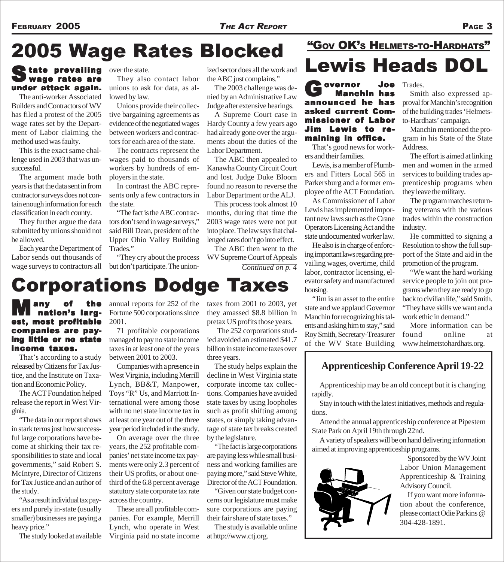# 2005 Wage Rates Blocked

### State prevailing over the state. wage rates are under attack again.

The anti-worker Associated Builders and Contractors of WV has filed a protest of the 2005 wage rates set by the Department of Labor claiming the method used was faulty.

This is the exact same challenge used in 2003 that was unsuccessful.

The argument made both years is that the data sent in from contractor surveys does not contain enough information for each classification in each county.

They further argue the data submitted by unions should not be allowed.

Each year the Department of Labor sends out thousands of wage surveys to contractors all

They also contact labor unions to ask for data, as allowed by law.

Unions provide their collective bargaining agreements as evidence of the negotiated wages between workers and contractors for each area of the state.

The contracts represent the wages paid to thousands of workers by hundreds of employers in the state.

In contrast the ABC represents only a few contractors in the state.

"The fact is the ABC contractors don't send in wage surveys," said Bill Dean, president of the Upper Ohio Valley Building Trades."

"They cry about the process but don't participate. The union-

Corporations Dodge Taxes

ized sector does all the work and the ABC just complains."

The 2003 challenge was denied by an Administrative Law Judge after extensive hearings.

A Supreme Court case in Hardy County a few years ago had already gone over the arguments about the duties of the Labor Department.

The ABC then appealed to Kanawha County Circuit Court and lost. Judge Duke Bloom found no reason to reverse the Labor Department or the ALJ.

This process took almost 10 months, during that time the 2003 wage rates were not put into place. The law says that challenged rates don't go into effect.

The ABC then went to the WV Supreme Court of Appeals *Continued on p. 4*

## Lewis Heads DOL "GOV OK'S HELMETS-TO-HARDHATS"

Governor Joe<br>
Manchin has announced he has asked current Commissioner of Labor Jim Lewis to remaining in office.

That's good news for workers and their families.

Lewis, is a member of Plumbers and Fitters Local 565 in Parkersburg and a former employee of the ACT Foundation.

As Commissioner of Labor Lewis has implemented important new laws such as the Crane Operators Licensing Act and the state undocumented worker law.

He also is in charge of enforcing important laws regarding prevailing wages, overtime, child labor, contractor licensing, elevator safety and manufactured housing.

"Jim is an asset to the entire state and we applaud Governor Manchin for recognizing his talents and asking him to stay," said Roy Smith, Secretary-Treasurer of the WV State Building

Trades.

Smith also expressed approval for Manchin's recognition of the building trades 'Helmetsto-Hardhats' campaign.

Manchin mentioned the program in his State of the State Address.

The effort is aimed at linking men and women in the armed services to building trades apprenticeship programs when they leave the military.

The program matches returning veterans with the various trades within the construction industry.

He committed to signing a Resolution to show the full support of the State and aid in the promotion of the program.

"We want the hard working service people to join out programs when they are ready to go back to civilian life," said Smith. "They have skills we want and a work ethic in demand."

More information can be found online at www.helmetstohardhats.org.

### **Apprenticeship Conference April 19-22**

Apprenticeship may be an old concept but it is changing rapidly.

Stay in touch with the latest initiatives, methods and regulations.

Attend the annual apprenticeship conference at Pipestem State Park on April 19th through 22nd.

A variety of speakers will be on hand delivering information aimed at improving apprenticeship programs.



Sponsored by the WV Joint Labor Union Management Apprenticeship & Training Advisory Council.

If you want more information about the conference, please contact Odie Parkins @ 304-428-1891.

Many of the est, most profitable companies are pay- companies paying little or no state income taxes.

That's according to a study released by Citizens for Tax Justice, and the Institute on Taxation and Economic Policy.

The ACT Foundation helped release the report in West Virginia.

"The data in our report shows in stark terms just how successful large corporations have become at shirking their tax responsibilities to state and local governments," said Robert S. McIntyre, Director of Citizens for Tax Justice and an author of the study.

"As a result individual tax payers and purely in-state (usually smaller) businesses are paying a heavy price."

The study looked at available

annual reports for 252 of the Fortune 500 corporations since 2001.

71 profitable corporations managed to pay no state income taxes in at least one of the years between 2001 to 2003.

Companies with a presence in West Virginia, including Merrill Lynch, BB&T, Manpower, Toys "R" Us, and Marriott International were among those with no net state income tax in at least one year out of the three year period included in the study.

On average over the three years, the 252 profitable companies' net state income tax payments were only 2.3 percent of their US profits, or about onethird of the 6.8 percent average statutory state corporate tax rate across the country.

These are all profitable companies. For example, Merrill Lynch, who operate in West Virginia paid no state income taxes from 2001 to 2003, yet they amassed \$8.8 billion in pretax US profits those years.

 The 252 corporations studied avoided an estimated \$41.7 billion in state income taxes over three years.

The study helps explain the decline in West Virginia state corporate income tax collections. Companies have avoided state taxes by using loopholes such as profit shifting among states, or simply taking advantage of state tax breaks created by the legislature.

"The fact is large corporations are paying less while small business and working families are paying more," said Steve White, Director of the ACT Foundation.

"Given our state budget concerns our legislature must make sure corporations are paying their fair share of state taxes."

The study is available online at http://www.ctj.org.